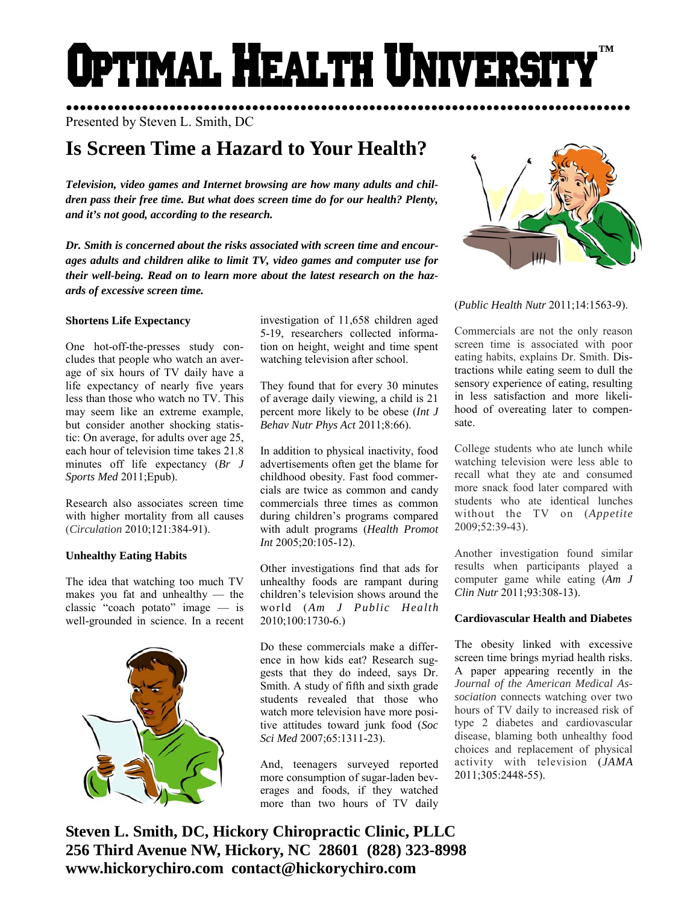# Optimal Health Universi **™**

●●●●●●●●●●●●●●●●●●●●●●●●●●●●●●●●●●●●●●●●●●●●●●●●●●●●●●●●●●●●●●●●●●●●●●●●●●●●●●●●●● Presented by Steven L. Smith, DC

# **Is Screen Time a Hazard to Your Health?**

*Television, video games and Internet browsing are how many adults and children pass their free time. But what does screen time do for our health? Plenty, and it's not good, according to the research.* 

*Dr. Smith is concerned about the risks associated with screen time and encourages adults and children alike to limit TV, video games and computer use for their well-being. Read on to learn more about the latest research on the hazards of excessive screen time.* 

### **Shortens Life Expectancy**

One hot-off-the-presses study concludes that people who watch an average of six hours of TV daily have a life expectancy of nearly five years less than those who watch no TV. This may seem like an extreme example, but consider another shocking statistic: On average, for adults over age 25, each hour of television time takes 21.8 minutes off life expectancy (*Br J Sports Med* 2011;Epub).

Research also associates screen time with higher mortality from all causes (*Circulation* 2010;121:384-91).

### **Unhealthy Eating Habits**

The idea that watching too much TV makes you fat and unhealthy — the classic "coach potato" image — is well-grounded in science. In a recent



investigation of 11,658 children aged 5-19, researchers collected information on height, weight and time spent watching television after school.

They found that for every 30 minutes of average daily viewing, a child is 21 percent more likely to be obese (*Int J Behav Nutr Phys Act* 2011;8:66).

In addition to physical inactivity, food advertisements often get the blame for childhood obesity. Fast food commercials are twice as common and candy commercials three times as common during children's programs compared with adult programs (*Health Promot Int* 2005;20:105-12).

Other investigations find that ads for unhealthy foods are rampant during children's television shows around the world (*Am J Public Health*  2010;100:1730-6.)

Do these commercials make a difference in how kids eat? Research suggests that they do indeed, says Dr. Smith. A study of fifth and sixth grade students revealed that those who watch more television have more positive attitudes toward junk food (*Soc Sci Med* 2007;65:1311-23).

And, teenagers surveyed reported more consumption of sugar-laden beverages and foods, if they watched more than two hours of TV daily



(*Public Health Nutr* 2011;14:1563-9).

Commercials are not the only reason screen time is associated with poor eating habits, explains Dr. Smith. Distractions while eating seem to dull the sensory experience of eating, resulting in less satisfaction and more likelihood of overeating later to compensate.

College students who ate lunch while watching television were less able to recall what they ate and consumed more snack food later compared with students who ate identical lunches without the TV on (*Appetite*  2009;52:39-43).

Another investigation found similar results when participants played a computer game while eating (*Am J Clin Nutr* 2011;93:308-13).

## **Cardiovascular Health and Diabetes**

The obesity linked with excessive screen time brings myriad health risks. A paper appearing recently in the *Journal of the American Medical Association* connects watching over two hours of TV daily to increased risk of type 2 diabetes and cardiovascular disease, blaming both unhealthy food choices and replacement of physical activity with television (*JAMA* 2011;305:2448-55).

**Steven L. Smith, DC, Hickory Chiropractic Clinic, PLLC 256 Third Avenue NW, Hickory, NC 28601 (828) 323-8998 www.hickorychiro.com contact@hickorychiro.com**